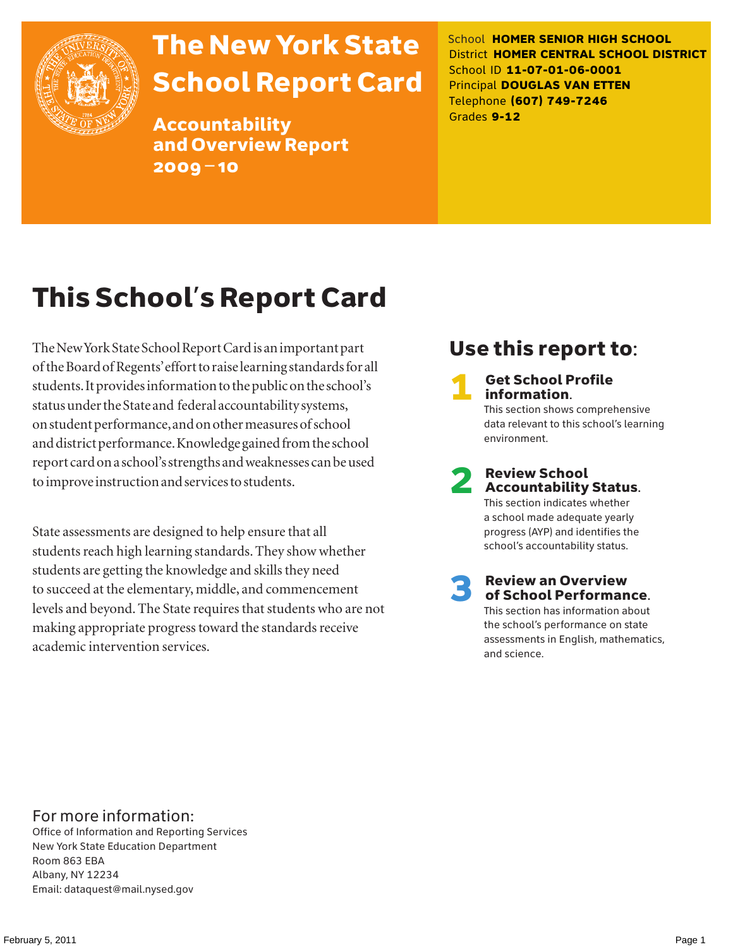

## The New York State School Report Card

Accountability and Overview Report 2009–10

School **HOMER SENIOR HIGH SCHOOL** District **HOMER CENTRAL SCHOOL DISTRICT** School ID **11-07-01-06-0001** Principal **DOUGLAS VAN ETTEN** Telephone **(607) 749-7246** Grades **9-12**

## This School's Report Card

The New York State School Report Card is an important part of the Board of Regents' effort to raise learning standards for all students. It provides information to the public on the school's status under the State and federal accountability systems, on student performance, and on other measures of school and district performance. Knowledge gained from the school report card on a school's strengths and weaknesses can be used to improve instruction and services to students.

State assessments are designed to help ensure that all students reach high learning standards. They show whether students are getting the knowledge and skills they need to succeed at the elementary, middle, and commencement levels and beyond. The State requires that students who are not making appropriate progress toward the standards receive academic intervention services.

### Use this report to:

**Get School Profile** information. This section shows comprehensive data relevant to this school's learning environment.

# 2 Review School Accountability Status.

This section indicates whether a school made adequate yearly progress (AYP) and identifies the school's accountability status.

3 Review an Overview of School Performance. This section has information about the school's performance on state assessments in English, mathematics,

and science.

For more information:

Office of Information and Reporting Services New York State Education Department Room 863 EBA Albany, NY 12234 Email: dataquest@mail.nysed.gov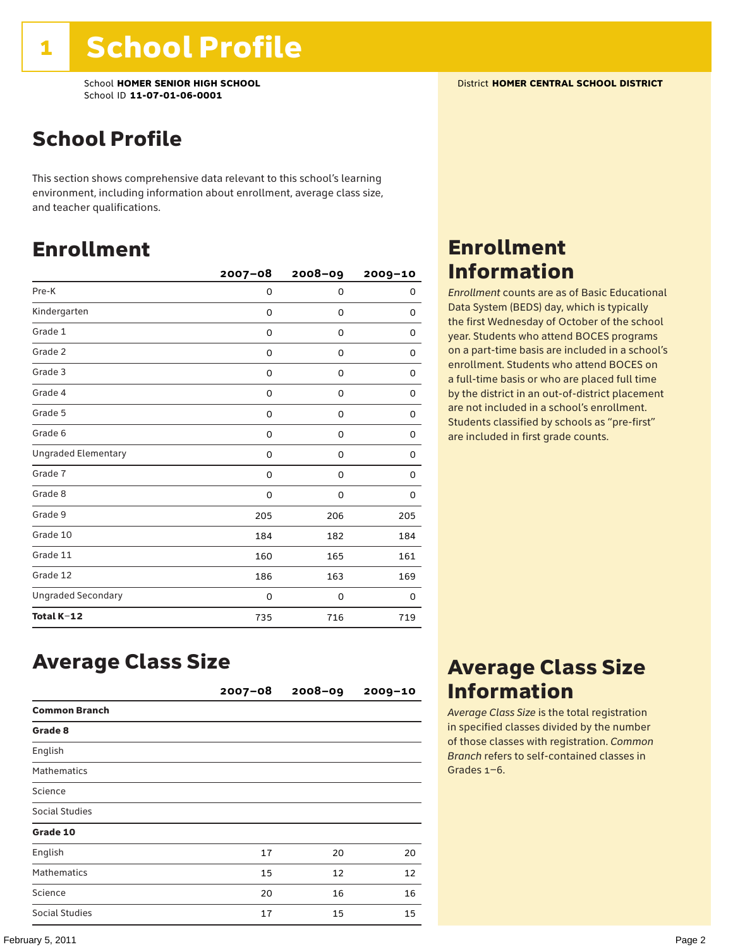School **HOMER SENIOR HIGH SCHOOL** District **HOMER CENTRAL SCHOOL DISTRICT** School ID **11-07-01-06-0001**

### School Profile

This section shows comprehensive data relevant to this school's learning environment, including information about enrollment, average class size, and teacher qualifications.

### Enrollment

|                            | $2007 - 08$ | 2008-09 | 2009-10 |
|----------------------------|-------------|---------|---------|
| Pre-K                      | 0           | 0       | 0       |
| Kindergarten               | 0           | 0       | 0       |
| Grade 1                    | 0           | 0       | 0       |
| Grade 2                    | 0           | 0       | 0       |
| Grade 3                    | 0           | 0       | 0       |
| Grade 4                    | 0           | 0       | 0       |
| Grade 5                    | 0           | 0       | 0       |
| Grade 6                    | 0           | 0       | 0       |
| <b>Ungraded Elementary</b> | $\Omega$    | 0       | 0       |
| Grade 7                    | 0           | 0       | 0       |
| Grade 8                    | 0           | 0       | 0       |
| Grade 9                    | 205         | 206     | 205     |
| Grade 10                   | 184         | 182     | 184     |
| Grade 11                   | 160         | 165     | 161     |
| Grade 12                   | 186         | 163     | 169     |
| <b>Ungraded Secondary</b>  | 0           | 0       | 0       |
| Total K-12                 | 735         | 716     | 719     |

### Average Class Size

|                      | $2007 - 08$ | $2008 - 09$ | $2009 - 10$ |
|----------------------|-------------|-------------|-------------|
| <b>Common Branch</b> |             |             |             |
| Grade 8              |             |             |             |
| English              |             |             |             |
| <b>Mathematics</b>   |             |             |             |
| Science              |             |             |             |
| Social Studies       |             |             |             |
| Grade 10             |             |             |             |
| English              | 17          | 20          | 20          |
| <b>Mathematics</b>   | 15          | 12          | 12          |
| Science              | 20          | 16          | 16          |
| Social Studies       | 17          | 15          | 15          |

### Enrollment Information

*Enrollment* counts are as of Basic Educational Data System (BEDS) day, which is typically the first Wednesday of October of the school year. Students who attend BOCES programs on a part-time basis are included in a school's enrollment. Students who attend BOCES on a full-time basis or who are placed full time by the district in an out-of-district placement are not included in a school's enrollment. Students classified by schools as "pre-first" are included in first grade counts.

### Average Class Size Information

*Average Class Size* is the total registration in specified classes divided by the number of those classes with registration. *Common Branch* refers to self-contained classes in Grades 1–6.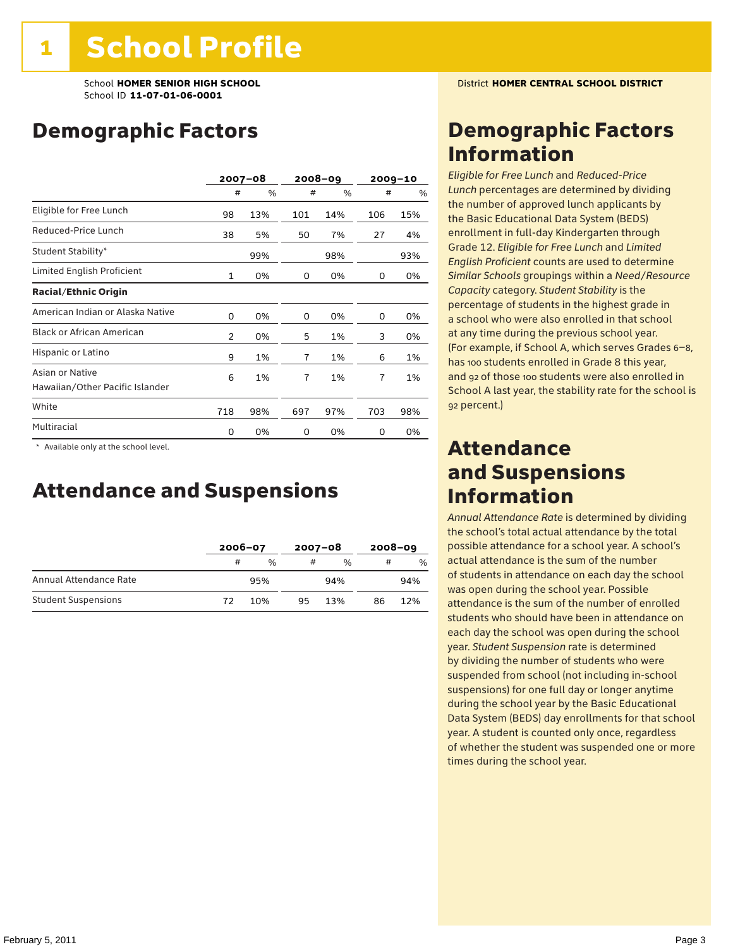### Demographic Factors

|                                                    | $2007 - 08$    |     | 2008-09 |     |     | $2009 - 10$ |
|----------------------------------------------------|----------------|-----|---------|-----|-----|-------------|
|                                                    | #              | %   | #       | %   | #   | %           |
| Eligible for Free Lunch                            | 98             | 13% | 101     | 14% | 106 | 15%         |
| Reduced-Price Lunch                                | 38             | 5%  | 50      | 7%  | 27  | 4%          |
| Student Stability*                                 |                | 99% |         | 98% |     | 93%         |
| Limited English Proficient                         | $\mathbf{1}$   | 0%  | 0       | 0%  | 0   | 0%          |
| <b>Racial/Ethnic Origin</b>                        |                |     |         |     |     |             |
| American Indian or Alaska Native                   | 0              | 0%  | 0       | 0%  | 0   | 0%          |
| <b>Black or African American</b>                   | $\overline{2}$ | 0%  | 5       | 1%  | 3   | 0%          |
| Hispanic or Latino                                 | 9              | 1%  | 7       | 1%  | 6   | 1%          |
| Asian or Native<br>Hawaiian/Other Pacific Islander | 6              | 1%  | 7       | 1%  | 7   | 1%          |
| White                                              | 718            | 98% | 697     | 97% | 703 | 98%         |
| Multiracial                                        | 0              | 0%  | 0       | 0%  | 0   | 0%          |

 \* Available only at the school level.

### Attendance and Suspensions

|                            |    | $2006 - 07$   |    | $2007 - 08$   |    | $2008 - 09$ |  |
|----------------------------|----|---------------|----|---------------|----|-------------|--|
|                            | #  | $\frac{0}{6}$ | #  | $\frac{0}{6}$ | #  | $\%$        |  |
| Annual Attendance Rate     |    | 95%<br>94%    |    |               |    | 94%         |  |
| <b>Student Suspensions</b> | 72 | 10%           | 95 | 13%           | 86 | 12%         |  |

### Demographic Factors Information

*Eligible for Free Lunch* and *Reduced*-*Price Lunch* percentages are determined by dividing the number of approved lunch applicants by the Basic Educational Data System (BEDS) enrollment in full-day Kindergarten through Grade 12. *Eligible for Free Lunch* and *Limited English Proficient* counts are used to determine *Similar Schools* groupings within a *Need*/*Resource Capacity* category. *Student Stability* is the percentage of students in the highest grade in a school who were also enrolled in that school at any time during the previous school year. (For example, if School A, which serves Grades 6–8, has 100 students enrolled in Grade 8 this year, and 92 of those 100 students were also enrolled in School A last year, the stability rate for the school is 92 percent.)

### Attendance and Suspensions Information

*Annual Attendance Rate* is determined by dividing the school's total actual attendance by the total possible attendance for a school year. A school's actual attendance is the sum of the number of students in attendance on each day the school was open during the school year. Possible attendance is the sum of the number of enrolled students who should have been in attendance on each day the school was open during the school year. *Student Suspension* rate is determined by dividing the number of students who were suspended from school (not including in-school suspensions) for one full day or longer anytime during the school year by the Basic Educational Data System (BEDS) day enrollments for that school year. A student is counted only once, regardless of whether the student was suspended one or more times during the school year.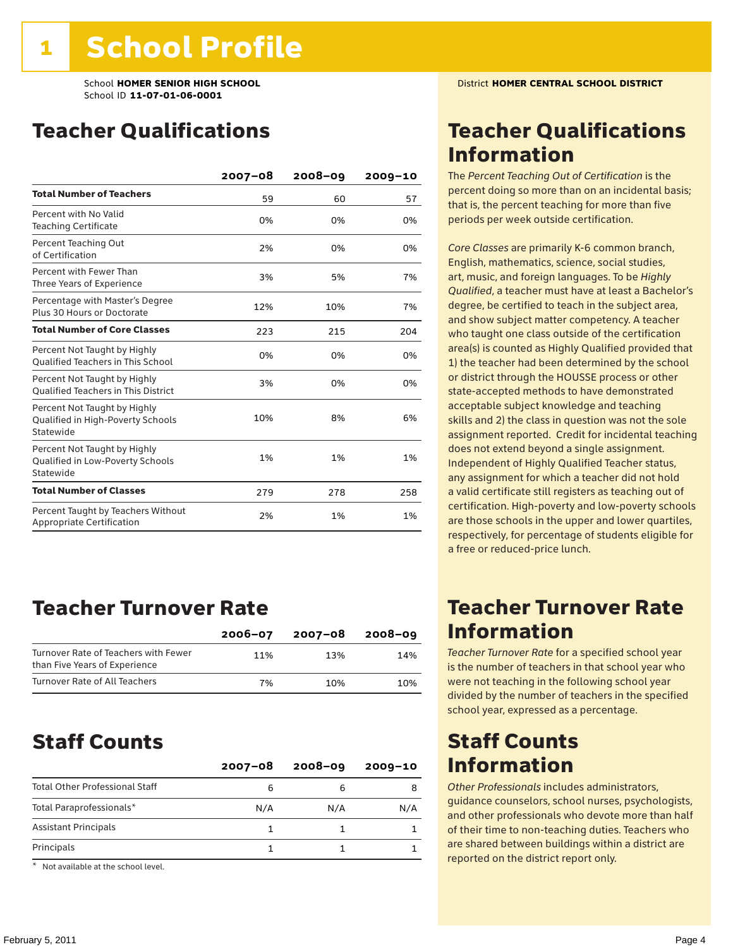### Teacher Qualifications

|                                                                                | $2007 - 08$ | 2008-09 | $2009 - 10$ |
|--------------------------------------------------------------------------------|-------------|---------|-------------|
| <b>Total Number of Teachers</b>                                                | 59          | 60      | 57          |
| Percent with No Valid<br><b>Teaching Certificate</b>                           | 0%          | 0%      | 0%          |
| Percent Teaching Out<br>of Certification                                       | 2%          | 0%      | 0%          |
| Percent with Fewer Than<br>Three Years of Experience                           | 3%          | 5%      | 7%          |
| Percentage with Master's Degree<br>Plus 30 Hours or Doctorate                  | 12%         | 10%     | 7%          |
| <b>Total Number of Core Classes</b>                                            | 223         | 215     | 204         |
| Percent Not Taught by Highly<br><b>Qualified Teachers in This School</b>       | 0%          | 0%      | 0%          |
| Percent Not Taught by Highly<br><b>Oualified Teachers in This District</b>     | 3%          | 0%      | 0%          |
| Percent Not Taught by Highly<br>Qualified in High-Poverty Schools<br>Statewide | 10%         | 8%      | 6%          |
| Percent Not Taught by Highly<br>Qualified in Low-Poverty Schools<br>Statewide  | 1%          | 1%      | 1%          |
| <b>Total Number of Classes</b>                                                 | 279         | 278     | 258         |
| Percent Taught by Teachers Without<br>Appropriate Certification                | 2%          | 1%      | 1%          |

### Teacher Turnover Rate

|                                                                       | $2006 - 07$ | 2007-08 | 2008-09 |
|-----------------------------------------------------------------------|-------------|---------|---------|
| Turnover Rate of Teachers with Fewer<br>than Five Years of Experience | 11%         | 13%     | 14%     |
| Turnover Rate of All Teachers                                         | 7%          | 10%     | 10%     |

### Staff Counts

|                                       | $2007 - 08$ | $2008 - 09$ | $2009 - 10$ |
|---------------------------------------|-------------|-------------|-------------|
| <b>Total Other Professional Staff</b> | 6           |             |             |
| Total Paraprofessionals*              | N/A         | N/A         | N/A         |
| <b>Assistant Principals</b>           |             |             |             |
| Principals                            |             |             |             |

\* Not available at the school level.

### Teacher Qualifications Information

The *Percent Teaching Out of Certification* is the percent doing so more than on an incidental basis; that is, the percent teaching for more than five periods per week outside certification.

*Core Classes* are primarily K-6 common branch, English, mathematics, science, social studies, art, music, and foreign languages. To be *Highly Qualified*, a teacher must have at least a Bachelor's degree, be certified to teach in the subject area, and show subject matter competency. A teacher who taught one class outside of the certification area(s) is counted as Highly Qualified provided that 1) the teacher had been determined by the school or district through the HOUSSE process or other state-accepted methods to have demonstrated acceptable subject knowledge and teaching skills and 2) the class in question was not the sole assignment reported. Credit for incidental teaching does not extend beyond a single assignment. Independent of Highly Qualified Teacher status, any assignment for which a teacher did not hold a valid certificate still registers as teaching out of certification. High-poverty and low-poverty schools are those schools in the upper and lower quartiles, respectively, for percentage of students eligible for a free or reduced-price lunch.

### Teacher Turnover Rate Information

*Teacher Turnover Rate* for a specified school year is the number of teachers in that school year who were not teaching in the following school year divided by the number of teachers in the specified school year, expressed as a percentage.

### Staff Counts Information

*Other Professionals* includes administrators, guidance counselors, school nurses, psychologists, and other professionals who devote more than half of their time to non-teaching duties. Teachers who are shared between buildings within a district are reported on the district report only.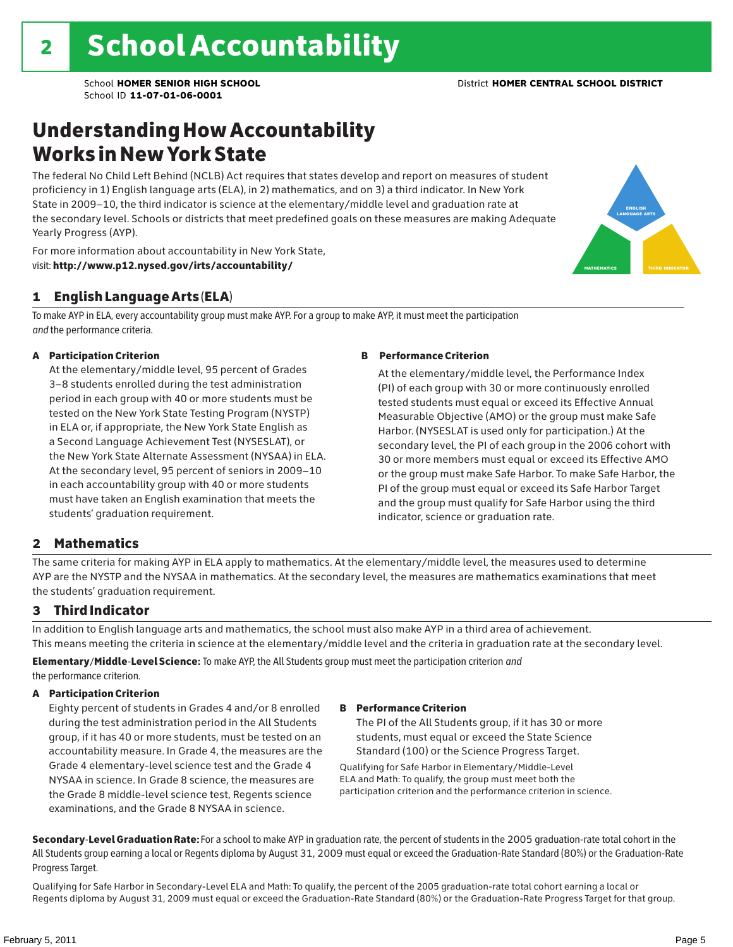### Understanding How Accountability Works in New York State

The federal No Child Left Behind (NCLB) Act requires that states develop and report on measures of student proficiency in 1) English language arts (ELA), in 2) mathematics, and on 3) a third indicator. In New York State in 2009–10, the third indicator is science at the elementary/middle level and graduation rate at the secondary level. Schools or districts that meet predefined goals on these measures are making Adequate Yearly Progress (AYP).

For more information about accountability in New York State, visit: http://www.p12.nysed.gov/irts/accountability/

### 1 English Language Arts (ELA)

To make AYP in ELA, every accountability group must make AYP. For a group to make AYP, it must meet the participation *and* the performance criteria.

#### A Participation Criterion

At the elementary/middle level, 95 percent of Grades 3–8 students enrolled during the test administration period in each group with 40 or more students must be tested on the New York State Testing Program (NYSTP) in ELA or, if appropriate, the New York State English as a Second Language Achievement Test (NYSESLAT), or the New York State Alternate Assessment (NYSAA) in ELA. At the secondary level, 95 percent of seniors in 2009–10 in each accountability group with 40 or more students must have taken an English examination that meets the students' graduation requirement.

#### B Performance Criterion

At the elementary/middle level, the Performance Index (PI) of each group with 30 or more continuously enrolled tested students must equal or exceed its Effective Annual Measurable Objective (AMO) or the group must make Safe Harbor. (NYSESLAT is used only for participation.) At the secondary level, the PI of each group in the 2006 cohort with 30 or more members must equal or exceed its Effective AMO or the group must make Safe Harbor. To make Safe Harbor, the PI of the group must equal or exceed its Safe Harbor Target and the group must qualify for Safe Harbor using the third indicator, science or graduation rate.

#### 2 Mathematics

The same criteria for making AYP in ELA apply to mathematics. At the elementary/middle level, the measures used to determine AYP are the NYSTP and the NYSAA in mathematics. At the secondary level, the measures are mathematics examinations that meet the students' graduation requirement.

#### 3 Third Indicator

In addition to English language arts and mathematics, the school must also make AYP in a third area of achievement. This means meeting the criteria in science at the elementary/middle level and the criteria in graduation rate at the secondary level.

Elementary/Middle-Level Science: To make AYP, the All Students group must meet the participation criterion *and* the performance criterion.

#### A Participation Criterion

Eighty percent of students in Grades 4 and/or 8 enrolled during the test administration period in the All Students group, if it has 40 or more students, must be tested on an accountability measure. In Grade 4, the measures are the Grade 4 elementary-level science test and the Grade 4 NYSAA in science. In Grade 8 science, the measures are the Grade 8 middle-level science test, Regents science examinations, and the Grade 8 NYSAA in science.

#### B Performance Criterion

The PI of the All Students group, if it has 30 or more students, must equal or exceed the State Science Standard (100) or the Science Progress Target.

Qualifying for Safe Harbor in Elementary/Middle-Level ELA and Math: To qualify, the group must meet both the participation criterion and the performance criterion in science.

Secondary-Level Graduation Rate: For a school to make AYP in graduation rate, the percent of students in the 2005 graduation-rate total cohort in the All Students group earning a local or Regents diploma by August 31, 2009 must equal or exceed the Graduation-Rate Standard (80%) or the Graduation-Rate Progress Target.

Qualifying for Safe Harbor in Secondary-Level ELA and Math: To qualify, the percent of the 2005 graduation-rate total cohort earning a local or Regents diploma by August 31, 2009 must equal or exceed the Graduation-Rate Standard (80%) or the Graduation-Rate Progress Target for that group.

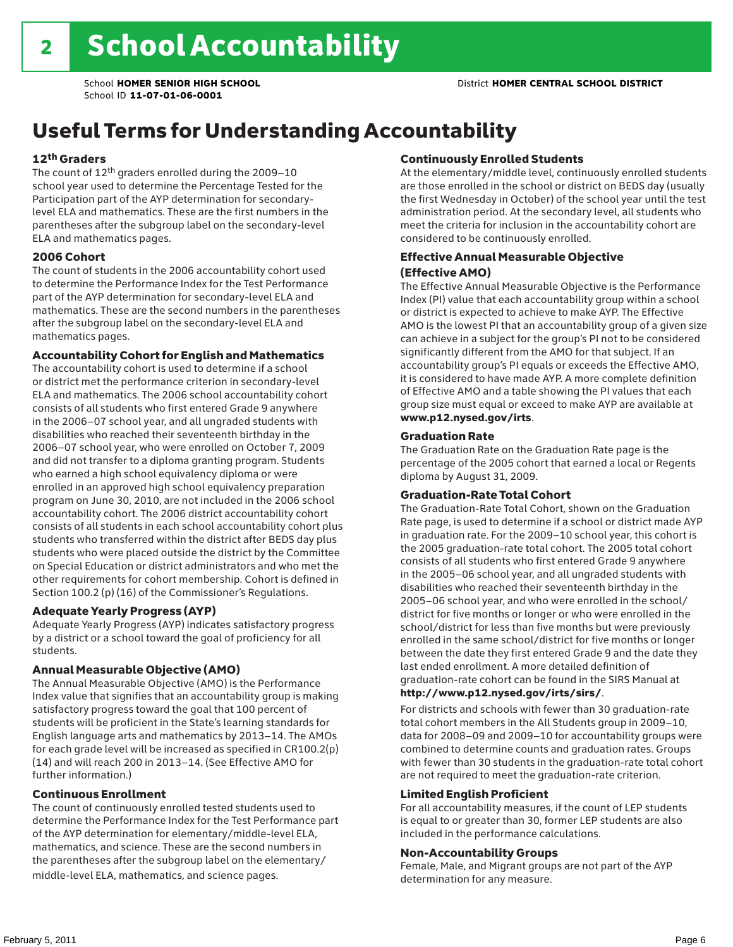## Useful Terms for Understanding Accountability

#### 12th Graders

The count of 12th graders enrolled during the 2009–10 school year used to determine the Percentage Tested for the Participation part of the AYP determination for secondarylevel ELA and mathematics. These are the first numbers in the parentheses after the subgroup label on the secondary-level ELA and mathematics pages.

#### 2006 Cohort

The count of students in the 2006 accountability cohort used to determine the Performance Index for the Test Performance part of the AYP determination for secondary-level ELA and mathematics. These are the second numbers in the parentheses after the subgroup label on the secondary-level ELA and mathematics pages.

#### Accountability Cohort for English and Mathematics

The accountability cohort is used to determine if a school or district met the performance criterion in secondary-level ELA and mathematics. The 2006 school accountability cohort consists of all students who first entered Grade 9 anywhere in the 2006–07 school year, and all ungraded students with disabilities who reached their seventeenth birthday in the 2006–07 school year, who were enrolled on October 7, 2009 and did not transfer to a diploma granting program. Students who earned a high school equivalency diploma or were enrolled in an approved high school equivalency preparation program on June 30, 2010, are not included in the 2006 school accountability cohort. The 2006 district accountability cohort consists of all students in each school accountability cohort plus students who transferred within the district after BEDS day plus students who were placed outside the district by the Committee on Special Education or district administrators and who met the other requirements for cohort membership. Cohort is defined in Section 100.2 (p) (16) of the Commissioner's Regulations.

#### Adequate Yearly Progress (AYP)

Adequate Yearly Progress (AYP) indicates satisfactory progress by a district or a school toward the goal of proficiency for all students.

#### Annual Measurable Objective (AMO)

The Annual Measurable Objective (AMO) is the Performance Index value that signifies that an accountability group is making satisfactory progress toward the goal that 100 percent of students will be proficient in the State's learning standards for English language arts and mathematics by 2013–14. The AMOs for each grade level will be increased as specified in CR100.2(p) (14) and will reach 200 in 2013–14. (See Effective AMO for further information.)

#### Continuous Enrollment

The count of continuously enrolled tested students used to determine the Performance Index for the Test Performance part of the AYP determination for elementary/middle-level ELA, mathematics, and science. These are the second numbers in the parentheses after the subgroup label on the elementary/ middle-level ELA, mathematics, and science pages.

#### Continuously Enrolled Students

At the elementary/middle level, continuously enrolled students are those enrolled in the school or district on BEDS day (usually the first Wednesday in October) of the school year until the test administration period. At the secondary level, all students who meet the criteria for inclusion in the accountability cohort are considered to be continuously enrolled.

#### Effective Annual Measurable Objective (Effective AMO)

The Effective Annual Measurable Objective is the Performance Index (PI) value that each accountability group within a school or district is expected to achieve to make AYP. The Effective AMO is the lowest PI that an accountability group of a given size can achieve in a subject for the group's PI not to be considered significantly different from the AMO for that subject. If an accountability group's PI equals or exceeds the Effective AMO, it is considered to have made AYP. A more complete definition of Effective AMO and a table showing the PI values that each group size must equal or exceed to make AYP are available at www.p12.nysed.gov/irts.

#### Graduation Rate

The Graduation Rate on the Graduation Rate page is the percentage of the 2005 cohort that earned a local or Regents diploma by August 31, 2009.

#### Graduation-Rate Total Cohort

The Graduation-Rate Total Cohort, shown on the Graduation Rate page, is used to determine if a school or district made AYP in graduation rate. For the 2009–10 school year, this cohort is the 2005 graduation-rate total cohort. The 2005 total cohort consists of all students who first entered Grade 9 anywhere in the 2005–06 school year, and all ungraded students with disabilities who reached their seventeenth birthday in the 2005–06 school year, and who were enrolled in the school/ district for five months or longer or who were enrolled in the school/district for less than five months but were previously enrolled in the same school/district for five months or longer between the date they first entered Grade 9 and the date they last ended enrollment. A more detailed definition of graduation-rate cohort can be found in the SIRS Manual at

#### http://www.p12.nysed.gov/irts/sirs/.

For districts and schools with fewer than 30 graduation-rate total cohort members in the All Students group in 2009–10, data for 2008–09 and 2009–10 for accountability groups were combined to determine counts and graduation rates. Groups with fewer than 30 students in the graduation-rate total cohort are not required to meet the graduation-rate criterion.

#### Limited English Proficient

For all accountability measures, if the count of LEP students is equal to or greater than 30, former LEP students are also included in the performance calculations.

#### Non-Accountability Groups

Female, Male, and Migrant groups are not part of the AYP determination for any measure.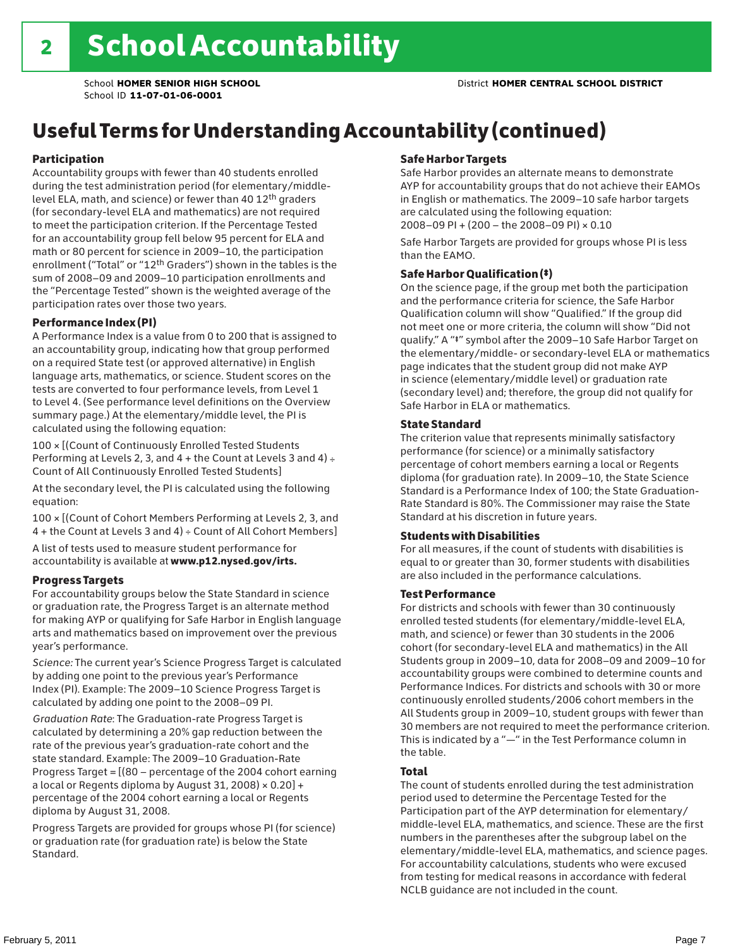## Useful Terms for Understanding Accountability (continued)

#### Participation

Accountability groups with fewer than 40 students enrolled during the test administration period (for elementary/middlelevel ELA, math, and science) or fewer than 40 12th graders (for secondary-level ELA and mathematics) are not required to meet the participation criterion. If the Percentage Tested for an accountability group fell below 95 percent for ELA and math or 80 percent for science in 2009–10, the participation enrollment ("Total" or "12th Graders") shown in the tables is the sum of 2008–09 and 2009–10 participation enrollments and the "Percentage Tested" shown is the weighted average of the participation rates over those two years.

#### Performance Index (PI)

A Performance Index is a value from 0 to 200 that is assigned to an accountability group, indicating how that group performed on a required State test (or approved alternative) in English language arts, mathematics, or science. Student scores on the tests are converted to four performance levels, from Level 1 to Level 4. (See performance level definitions on the Overview summary page.) At the elementary/middle level, the PI is calculated using the following equation:

100 × [(Count of Continuously Enrolled Tested Students Performing at Levels 2, 3, and  $4 +$  the Count at Levels 3 and  $4) \div$ Count of All Continuously Enrolled Tested Students]

At the secondary level, the PI is calculated using the following equation:

100 × [(Count of Cohort Members Performing at Levels 2, 3, and 4 + the Count at Levels 3 and 4) ÷ Count of All Cohort Members]

A list of tests used to measure student performance for accountability is available at www.p12.nysed.gov/irts.

#### Progress Targets

For accountability groups below the State Standard in science or graduation rate, the Progress Target is an alternate method for making AYP or qualifying for Safe Harbor in English language arts and mathematics based on improvement over the previous year's performance.

*Science:* The current year's Science Progress Target is calculated by adding one point to the previous year's Performance Index (PI). Example: The 2009–10 Science Progress Target is calculated by adding one point to the 2008–09 PI.

*Graduation Rate*: The Graduation-rate Progress Target is calculated by determining a 20% gap reduction between the rate of the previous year's graduation-rate cohort and the state standard. Example: The 2009–10 Graduation-Rate Progress Target = [(80 – percentage of the 2004 cohort earning a local or Regents diploma by August 31, 2008)  $\times$  0.20] + percentage of the 2004 cohort earning a local or Regents diploma by August 31, 2008.

Progress Targets are provided for groups whose PI (for science) or graduation rate (for graduation rate) is below the State Standard.

#### Safe Harbor Targets

Safe Harbor provides an alternate means to demonstrate AYP for accountability groups that do not achieve their EAMOs in English or mathematics. The 2009–10 safe harbor targets are calculated using the following equation: 2008–09 PI + (200 – the 2008–09 PI) × 0.10

Safe Harbor Targets are provided for groups whose PI is less than the EAMO.

#### Safe Harbor Qualification (‡)

On the science page, if the group met both the participation and the performance criteria for science, the Safe Harbor Qualification column will show "Qualified." If the group did not meet one or more criteria, the column will show "Did not qualify." A "‡" symbol after the 2009–10 Safe Harbor Target on the elementary/middle- or secondary-level ELA or mathematics page indicates that the student group did not make AYP in science (elementary/middle level) or graduation rate (secondary level) and; therefore, the group did not qualify for Safe Harbor in ELA or mathematics.

#### State Standard

The criterion value that represents minimally satisfactory performance (for science) or a minimally satisfactory percentage of cohort members earning a local or Regents diploma (for graduation rate). In 2009–10, the State Science Standard is a Performance Index of 100; the State Graduation-Rate Standard is 80%. The Commissioner may raise the State Standard at his discretion in future years.

#### Students with Disabilities

For all measures, if the count of students with disabilities is equal to or greater than 30, former students with disabilities are also included in the performance calculations.

#### Test Performance

For districts and schools with fewer than 30 continuously enrolled tested students (for elementary/middle-level ELA, math, and science) or fewer than 30 students in the 2006 cohort (for secondary-level ELA and mathematics) in the All Students group in 2009–10, data for 2008–09 and 2009–10 for accountability groups were combined to determine counts and Performance Indices. For districts and schools with 30 or more continuously enrolled students/2006 cohort members in the All Students group in 2009–10, student groups with fewer than 30 members are not required to meet the performance criterion. This is indicated by a "—" in the Test Performance column in the table.

#### Total

The count of students enrolled during the test administration period used to determine the Percentage Tested for the Participation part of the AYP determination for elementary/ middle-level ELA, mathematics, and science. These are the first numbers in the parentheses after the subgroup label on the elementary/middle-level ELA, mathematics, and science pages. For accountability calculations, students who were excused from testing for medical reasons in accordance with federal NCLB guidance are not included in the count.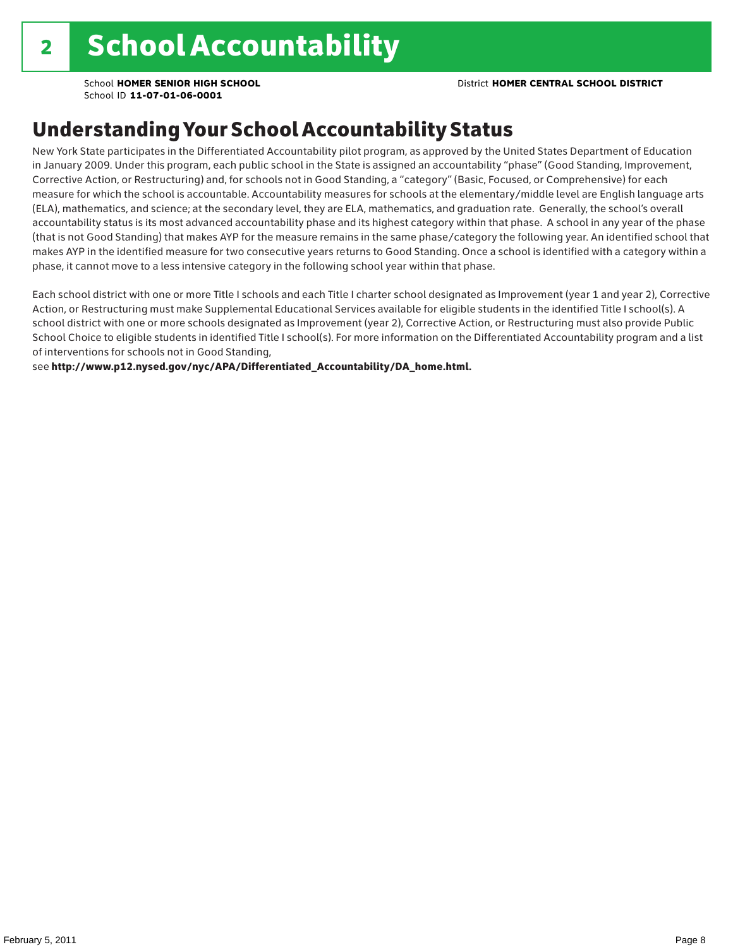### Understanding Your School Accountability Status

New York State participates in the Differentiated Accountability pilot program, as approved by the United States Department of Education in January 2009. Under this program, each public school in the State is assigned an accountability "phase" (Good Standing, Improvement, Corrective Action, or Restructuring) and, for schools not in Good Standing, a "category" (Basic, Focused, or Comprehensive) for each measure for which the school is accountable. Accountability measures for schools at the elementary/middle level are English language arts (ELA), mathematics, and science; at the secondary level, they are ELA, mathematics, and graduation rate. Generally, the school's overall accountability status is its most advanced accountability phase and its highest category within that phase. A school in any year of the phase (that is not Good Standing) that makes AYP for the measure remains in the same phase/category the following year. An identified school that makes AYP in the identified measure for two consecutive years returns to Good Standing. Once a school is identified with a category within a phase, it cannot move to a less intensive category in the following school year within that phase.

Each school district with one or more Title I schools and each Title I charter school designated as Improvement (year 1 and year 2), Corrective Action, or Restructuring must make Supplemental Educational Services available for eligible students in the identified Title I school(s). A school district with one or more schools designated as Improvement (year 2), Corrective Action, or Restructuring must also provide Public School Choice to eligible students in identified Title I school(s). For more information on the Differentiated Accountability program and a list of interventions for schools not in Good Standing,

see http://www.p12.nysed.gov/nyc/APA/Differentiated\_Accountability/DA\_home.html.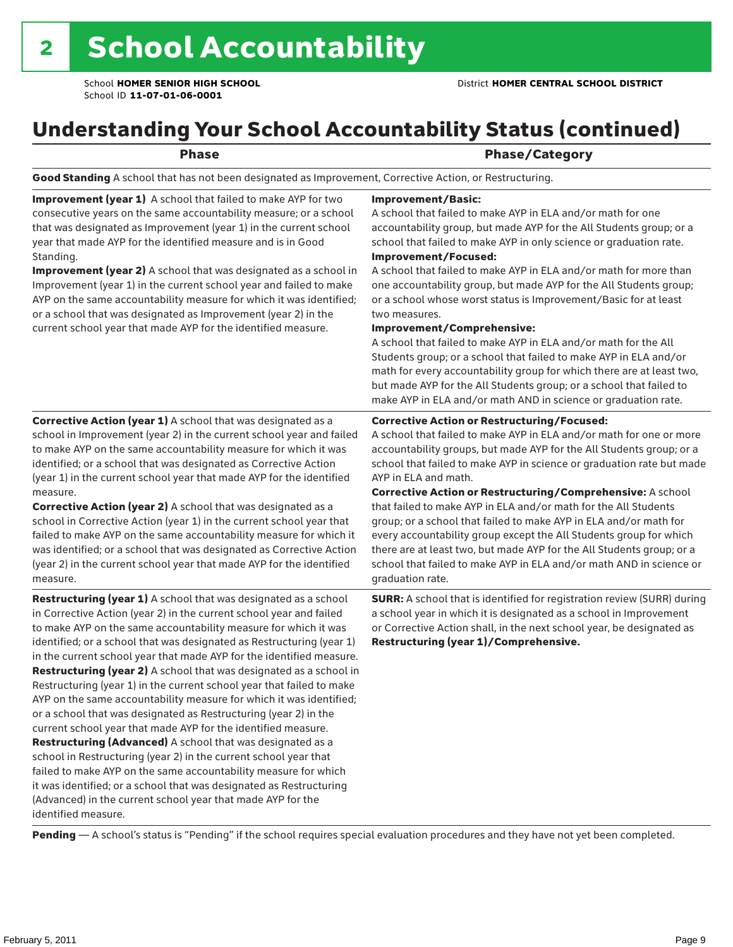### Understanding Your School Accountability Status (continued)

### Phase/Category

Good Standing A school that has not been designated as Improvement, Corrective Action, or Restructuring.

Improvement (year 1) A school that failed to make AYP for two consecutive years on the same accountability measure; or a school that was designated as Improvement (year 1) in the current school year that made AYP for the identified measure and is in Good Standing.

Improvement (year 2) A school that was designated as a school in Improvement (year 1) in the current school year and failed to make AYP on the same accountability measure for which it was identified; or a school that was designated as Improvement (year 2) in the current school year that made AYP for the identified measure.

Corrective Action (year 1) A school that was designated as a school in Improvement (year 2) in the current school year and failed to make AYP on the same accountability measure for which it was identified; or a school that was designated as Corrective Action

#### Improvement/Basic:

A school that failed to make AYP in ELA and/or math for one accountability group, but made AYP for the All Students group; or a school that failed to make AYP in only science or graduation rate. Improvement/Focused:

A school that failed to make AYP in ELA and/or math for more than one accountability group, but made AYP for the All Students group; or a school whose worst status is Improvement/Basic for at least two measures.

#### Improvement/Comprehensive:

A school that failed to make AYP in ELA and/or math for the All Students group; or a school that failed to make AYP in ELA and/or math for every accountability group for which there are at least two, but made AYP for the All Students group; or a school that failed to make AYP in ELA and/or math AND in science or graduation rate.

#### Corrective Action or Restructuring/Focused:

A school that failed to make AYP in ELA and/or math for one or more accountability groups, but made AYP for the All Students group; or a school that failed to make AYP in science or graduation rate but made AYP in ELA and math.

(year 1) in the current school year that made AYP for the identified measure. Corrective Action (year 2) A school that was designated as a school in Corrective Action (year 1) in the current school year that failed to make AYP on the same accountability measure for which it was identified; or a school that was designated as Corrective Action (year 2) in the current school year that made AYP for the identified

measure. Restructuring (year 1) A school that was designated as a school in Corrective Action (year 2) in the current school year and failed to make AYP on the same accountability measure for which it was identified; or a school that was designated as Restructuring (year 1) in the current school year that made AYP for the identified measure. Restructuring (year 2) A school that was designated as a school in Restructuring (year 1) in the current school year that failed to make AYP on the same accountability measure for which it was identified; or a school that was designated as Restructuring (year 2) in the current school year that made AYP for the identified measure. Restructuring (Advanced) A school that was designated as a school in Restructuring (year 2) in the current school year that failed to make AYP on the same accountability measure for which

it was identified; or a school that was designated as Restructuring (Advanced) in the current school year that made AYP for the identified measure.

Corrective Action or Restructuring/Comprehensive: A school that failed to make AYP in ELA and/or math for the All Students group; or a school that failed to make AYP in ELA and/or math for every accountability group except the All Students group for which there are at least two, but made AYP for the All Students group; or a school that failed to make AYP in ELA and/or math AND in science or graduation rate.

SURR: A school that is identified for registration review (SURR) during a school year in which it is designated as a school in Improvement or Corrective Action shall, in the next school year, be designated as Restructuring (year 1)/Comprehensive.

Pending - A school's status is "Pending" if the school requires special evaluation procedures and they have not yet been completed.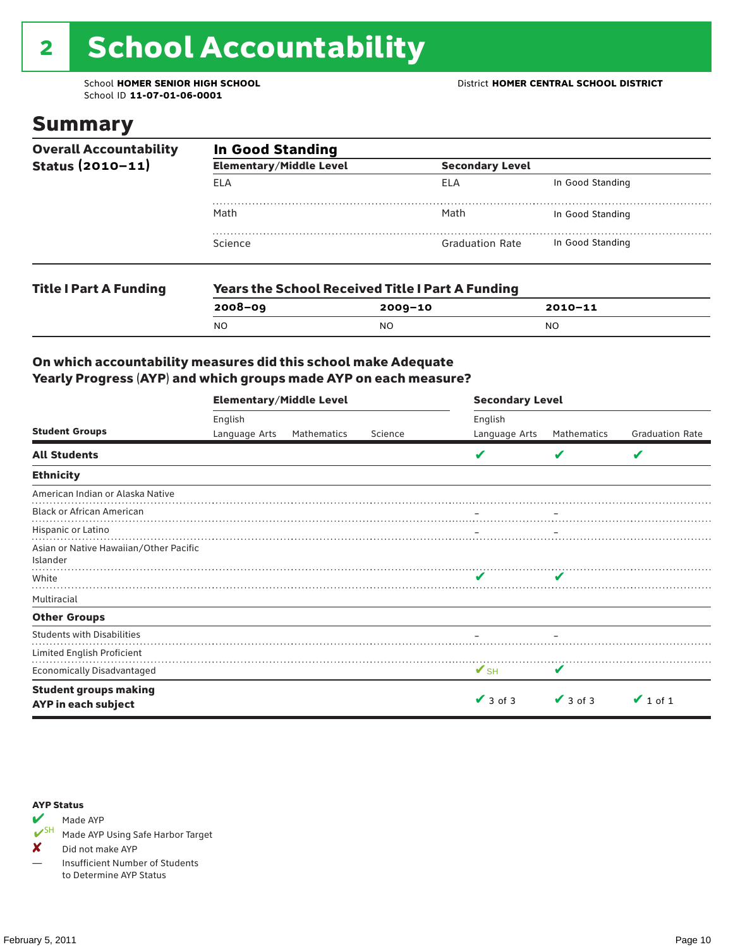# 2 School Accountability

School ID **11-07-01-06-0001**

### Summary

| <b>Overall Accountability</b> | <b>In Good Standing</b>        |                                                         |                        |  |  |  |
|-------------------------------|--------------------------------|---------------------------------------------------------|------------------------|--|--|--|
| Status (2010-11)              | <b>Elementary/Middle Level</b> |                                                         | <b>Secondary Level</b> |  |  |  |
|                               | ELA                            | <b>ELA</b>                                              | In Good Standing       |  |  |  |
|                               | Math                           | Math                                                    | In Good Standing       |  |  |  |
|                               | Science                        | <b>Graduation Rate</b>                                  | In Good Standing       |  |  |  |
| <b>Title I Part A Funding</b> |                                | <b>Years the School Received Title I Part A Funding</b> |                        |  |  |  |
|                               | $2008 - 09$                    | $2009 - 10$                                             | $2010 - 11$            |  |  |  |
|                               | <b>NO</b>                      | <sub>NO</sub>                                           | NO.                    |  |  |  |

#### On which accountability measures did this school make Adequate Yearly Progress (AYP) and which groups made AYP on each measure?

|                                                     | <b>Elementary/Middle Level</b> |             |         | <b>Secondary Level</b>   |                            |                        |  |
|-----------------------------------------------------|--------------------------------|-------------|---------|--------------------------|----------------------------|------------------------|--|
|                                                     | English                        |             |         | English                  |                            |                        |  |
| <b>Student Groups</b>                               | Language Arts                  | Mathematics | Science | Language Arts            | Mathematics                | <b>Graduation Rate</b> |  |
| <b>All Students</b>                                 |                                |             |         |                          | V                          | V                      |  |
| <b>Ethnicity</b>                                    |                                |             |         |                          |                            |                        |  |
| American Indian or Alaska Native                    |                                |             |         |                          |                            |                        |  |
| <b>Black or African American</b>                    |                                |             |         |                          |                            |                        |  |
| Hispanic or Latino                                  |                                |             |         |                          |                            |                        |  |
| Asian or Native Hawaiian/Other Pacific<br>Islander  |                                |             |         |                          |                            |                        |  |
| White                                               |                                |             |         | ✔                        | $\boldsymbol{\mathcal{L}}$ |                        |  |
| Multiracial                                         |                                |             |         |                          |                            |                        |  |
| <b>Other Groups</b>                                 |                                |             |         |                          |                            |                        |  |
| <b>Students with Disabilities</b>                   |                                |             |         |                          |                            |                        |  |
| Limited English Proficient                          |                                |             |         |                          |                            |                        |  |
| <b>Economically Disadvantaged</b>                   |                                |             |         | $\mathbf{V}_{\text{SH}}$ | V                          |                        |  |
| <b>Student groups making</b><br>AYP in each subject |                                |             |         | $\vee$ 3 of 3            | $\vee$ 3 of 3              | $\vee$ 1 of 1          |  |



Made AYP Using Safe Harbor Target

✘ Did not make AYP

— Insufficient Number of Students to Determine AYP Status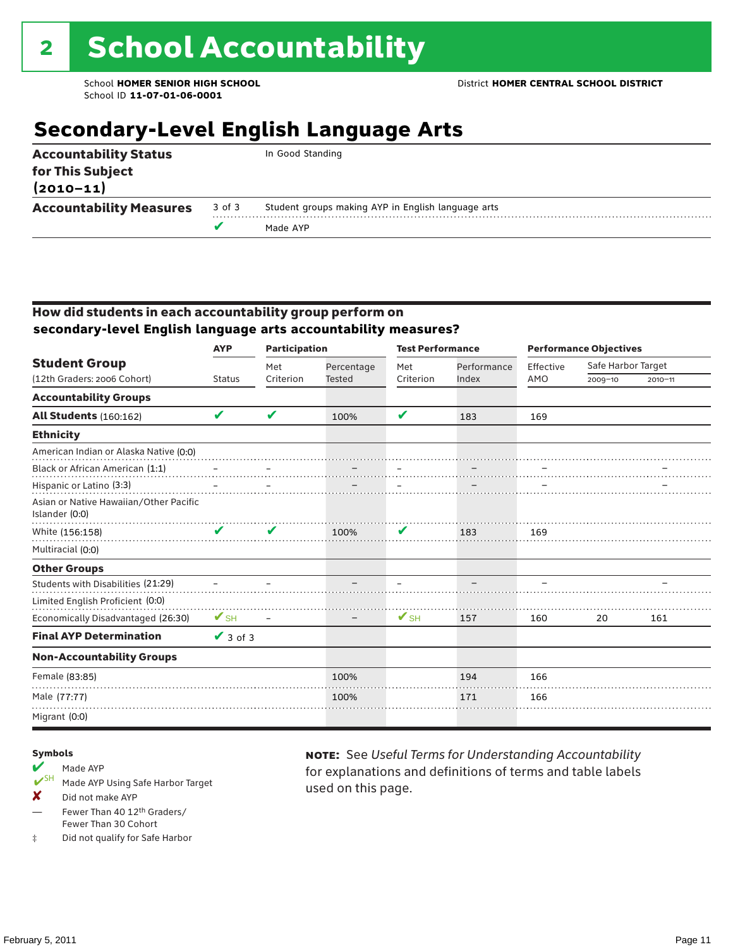### **Secondary-Level English Language Arts**

|                                                                   |        | Made AYP                                           |  |
|-------------------------------------------------------------------|--------|----------------------------------------------------|--|
| <b>Accountability Measures</b>                                    | 3 of 3 | Student groups making AYP in English language arts |  |
| <b>Accountability Status</b><br>for This Subject<br>$(2010 - 11)$ |        | In Good Standing                                   |  |

#### How did students in each accountability group perform on **secondary-level English language arts accountability measures?**

|                                                          | <b>AYP</b>               | <b>Participation</b> |                             | <b>Test Performance</b>  |                      | <b>Performance Objectives</b> |                    |             |
|----------------------------------------------------------|--------------------------|----------------------|-----------------------------|--------------------------|----------------------|-------------------------------|--------------------|-------------|
| <b>Student Group</b><br>(12th Graders: 2006 Cohort)      |                          | Met<br>Criterion     | Percentage<br><b>Tested</b> | Met<br>Criterion         | Performance<br>Index | Effective<br>AMO              | Safe Harbor Target |             |
|                                                          | <b>Status</b>            |                      |                             |                          |                      |                               | $2009 - 10$        | $2010 - 11$ |
| <b>Accountability Groups</b>                             |                          |                      |                             |                          |                      |                               |                    |             |
| <b>All Students (160:162)</b>                            | V                        | V                    | 100%                        | V                        | 183                  | 169                           |                    |             |
| <b>Ethnicity</b>                                         |                          |                      |                             |                          |                      |                               |                    |             |
| American Indian or Alaska Native (0:0)                   |                          |                      |                             |                          |                      |                               |                    |             |
| Black or African American (1:1)                          |                          |                      |                             |                          |                      |                               |                    |             |
| Hispanic or Latino (3:3)                                 |                          |                      |                             |                          |                      |                               |                    |             |
| Asian or Native Hawaiian/Other Pacific<br>Islander (0:0) |                          |                      |                             |                          |                      |                               |                    |             |
| White (156:158)                                          |                          | ✔                    | 100%                        | V                        | 183                  | 169                           |                    |             |
| Multiracial (0:0)                                        |                          |                      |                             |                          |                      |                               |                    |             |
| <b>Other Groups</b>                                      |                          |                      |                             |                          |                      |                               |                    |             |
| Students with Disabilities (21:29)                       |                          |                      |                             |                          |                      |                               |                    |             |
| Limited English Proficient (0:0)                         |                          |                      |                             |                          |                      |                               |                    |             |
| Economically Disadvantaged (26:30)                       | $\mathbf{V}_{\text{SH}}$ |                      |                             | $\mathbf{V}_{\text{SH}}$ | 157                  | 160                           | 20                 | 161         |
| <b>Final AYP Determination</b>                           | $\sqrt{3}$ of 3          |                      |                             |                          |                      |                               |                    |             |
| <b>Non-Accountability Groups</b>                         |                          |                      |                             |                          |                      |                               |                    |             |
| Female (83:85)                                           |                          |                      | 100%                        |                          | 194                  | 166                           |                    |             |
| Male (77:77)                                             |                          |                      | 100%                        |                          | 171                  | 166                           |                    |             |
| Migrant (0:0)                                            |                          |                      |                             |                          |                      |                               |                    |             |

#### Symbols

- Made AYP Made AYP Using Safe Harbor Target
- X Did not make AYP
- Fewer Than 40 12th Graders/ Fewer Than 30 Cohort
- ‡ Did not qualify for Safe Harbor

note: See *Useful Terms for Understanding Accountability*  for explanations and definitions of terms and table labels used on this page.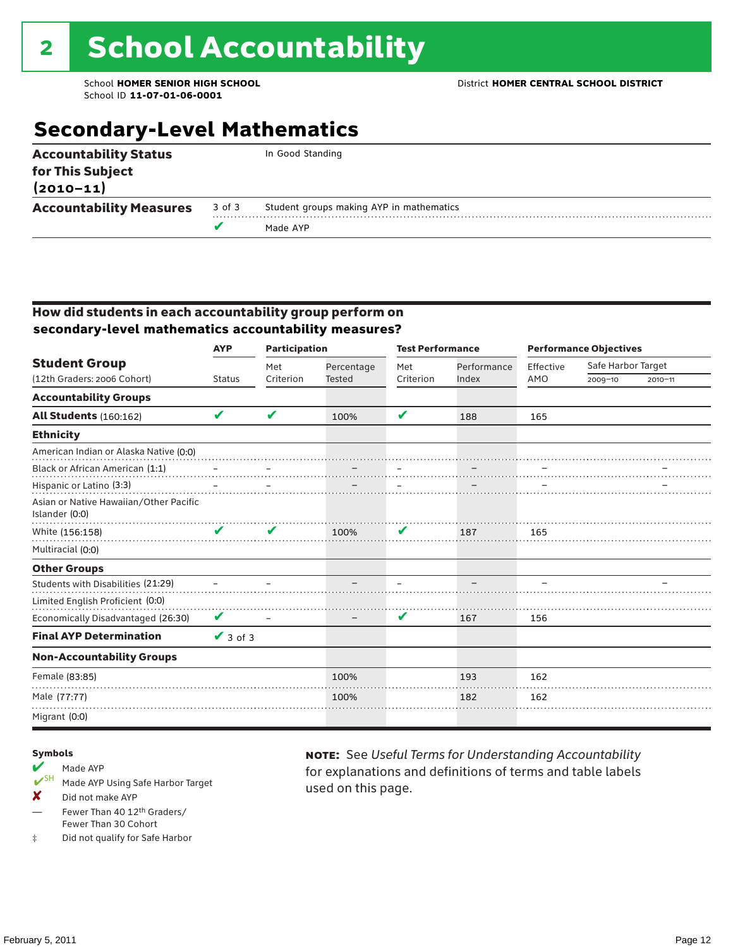## **Secondary-Level Mathematics**

| <b>Accountability Status</b><br>for This Subject<br>$(2010 - 11)$ |        | In Good Standing                         |
|-------------------------------------------------------------------|--------|------------------------------------------|
| <b>Accountability Measures</b>                                    | 3 of 3 | Student groups making AYP in mathematics |
|                                                                   |        | Made AYP                                 |
|                                                                   |        |                                          |

#### How did students in each accountability group perform on **secondary-level mathematics accountability measures?**

|                                                          | <b>AYP</b>      | <b>Participation</b> |            | <b>Test Performance</b> |             | <b>Performance Objectives</b> |                    |             |  |
|----------------------------------------------------------|-----------------|----------------------|------------|-------------------------|-------------|-------------------------------|--------------------|-------------|--|
| <b>Student Group</b>                                     |                 | Met                  | Percentage | Met                     | Performance | Effective                     | Safe Harbor Target |             |  |
| (12th Graders: 2006 Cohort)                              | <b>Status</b>   | Criterion            | Tested     | Criterion               | Index       | AMO                           | $2009 - 10$        | $2010 - 11$ |  |
| <b>Accountability Groups</b>                             |                 |                      |            |                         |             |                               |                    |             |  |
| <b>All Students (160:162)</b>                            | V               | V                    | 100%       | ✔                       | 188         | 165                           |                    |             |  |
| <b>Ethnicity</b>                                         |                 |                      |            |                         |             |                               |                    |             |  |
| American Indian or Alaska Native (0:0)                   |                 |                      |            |                         |             |                               |                    |             |  |
| Black or African American (1:1)                          |                 |                      |            |                         |             |                               |                    |             |  |
| Hispanic or Latino (3:3)                                 |                 |                      |            |                         |             |                               |                    |             |  |
| Asian or Native Hawaiian/Other Pacific<br>Islander (0:0) |                 |                      |            |                         |             |                               |                    |             |  |
| White (156:158)                                          |                 | v                    | 100%       | V                       | 187         | 165                           |                    |             |  |
| Multiracial (0:0)                                        |                 |                      |            |                         |             |                               |                    |             |  |
| <b>Other Groups</b>                                      |                 |                      |            |                         |             |                               |                    |             |  |
| Students with Disabilities (21:29)                       |                 |                      |            |                         |             |                               |                    |             |  |
| Limited English Proficient (0:0)                         |                 |                      |            |                         |             |                               |                    |             |  |
| Economically Disadvantaged (26:30)                       | V               |                      |            | V                       | 167         | 156                           |                    |             |  |
| <b>Final AYP Determination</b>                           | $\sqrt{3}$ of 3 |                      |            |                         |             |                               |                    |             |  |
| <b>Non-Accountability Groups</b>                         |                 |                      |            |                         |             |                               |                    |             |  |
| Female (83:85)                                           |                 |                      | 100%       |                         | 193         | 162                           |                    |             |  |
| Male (77:77)                                             |                 |                      | 100%       |                         | 182         | 162                           |                    |             |  |
| Migrant (0:0)                                            |                 |                      |            |                         |             |                               |                    |             |  |

#### Symbols

### Made AYP

- Made AYP Using Safe Harbor Target
- X Did not make AYP
- Fewer Than 40 12th Graders/ Fewer Than 30 Cohort
- ‡ Did not qualify for Safe Harbor

note: See *Useful Terms for Understanding Accountability*  for explanations and definitions of terms and table labels used on this page.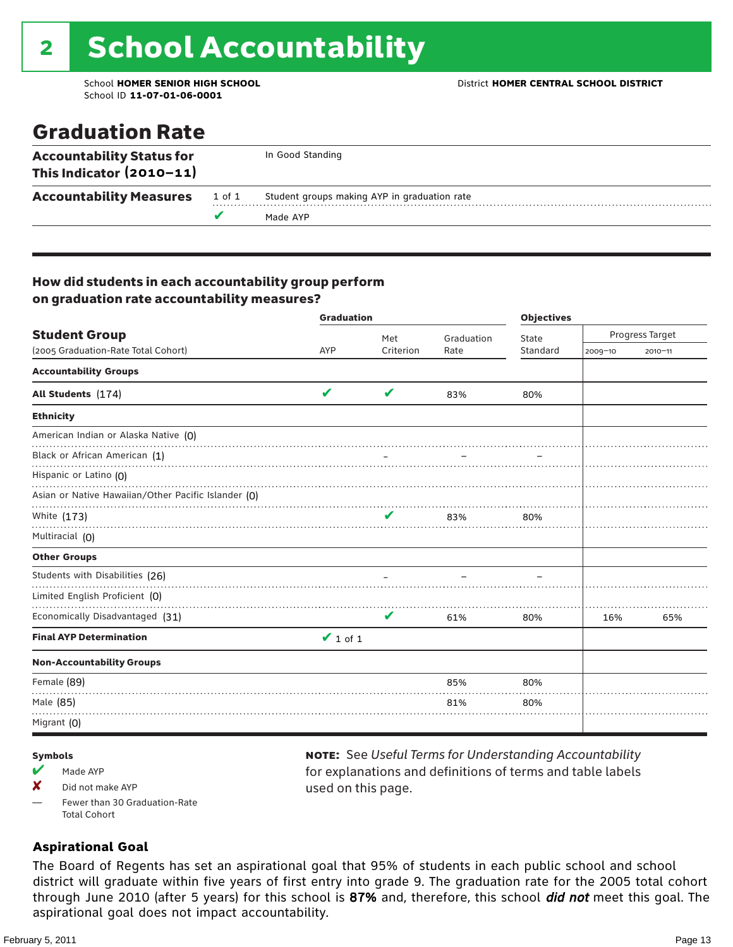## 2 School Accountability

School ID **11-07-01-06-0001**

### Graduation Rate

| <b>Accountability Status for</b><br>This Indicator $(2010-11)$ |        | In Good Standing                             |
|----------------------------------------------------------------|--------|----------------------------------------------|
| <b>Accountability Measures</b>                                 | 1 of 1 | Student groups making AYP in graduation rate |
|                                                                |        | Made AYP                                     |

#### How did students in each accountability group perform on graduation rate accountability measures?

|                                                     | <b>Graduation</b> |           |            | <b>Objectives</b> |                 |             |  |
|-----------------------------------------------------|-------------------|-----------|------------|-------------------|-----------------|-------------|--|
| <b>Student Group</b>                                |                   | Met       | Graduation | State             | Progress Target |             |  |
| (2005 Graduation-Rate Total Cohort)                 | AYP               | Criterion | Rate       | Standard          | $2009 - 10$     | $2010 - 11$ |  |
| <b>Accountability Groups</b>                        |                   |           |            |                   |                 |             |  |
| All Students (174)                                  | V                 | V         | 83%        | 80%               |                 |             |  |
| <b>Ethnicity</b>                                    |                   |           |            |                   |                 |             |  |
| American Indian or Alaska Native (0)                |                   |           |            |                   |                 |             |  |
| Black or African American (1)                       |                   |           |            |                   |                 |             |  |
| Hispanic or Latino (O)                              |                   |           |            |                   |                 |             |  |
| Asian or Native Hawaiian/Other Pacific Islander (O) |                   |           |            |                   |                 |             |  |
| White (173)                                         |                   | v         | 83%        | 80%               |                 |             |  |
| Multiracial (0)                                     |                   |           |            |                   |                 |             |  |
| <b>Other Groups</b>                                 |                   |           |            |                   |                 |             |  |
| Students with Disabilities (26)                     |                   |           |            |                   |                 |             |  |
| Limited English Proficient (0)                      |                   |           |            |                   |                 |             |  |
| Economically Disadvantaged (31)                     |                   | V         | 61%        | 80%               | 16%             | 65%         |  |
| <b>Final AYP Determination</b>                      | $\vee$ 1 of 1     |           |            |                   |                 |             |  |
| <b>Non-Accountability Groups</b>                    |                   |           |            |                   |                 |             |  |
| Female (89)                                         |                   |           | 85%        | 80%               |                 |             |  |
| Male (85)                                           |                   |           | 81%        | 80%               |                 |             |  |
| Migrant (0)                                         |                   |           |            |                   |                 |             |  |

#### Symbols

- $M$  Made AYP
- $\times$  Did not make AYP
- Fewer than 30 Graduation-Rate Total Cohort

#### note: See *Useful Terms for Understanding Accountability*  for explanations and definitions of terms and table labels used on this page.

#### **Aspirational Goal**

The Board of Regents has set an aspirational goal that 95% of students in each public school and school district will graduate within five years of first entry into grade 9. The graduation rate for the 2005 total cohort through June 2010 (after 5 years) for this school is 87% and, therefore, this school *did not* meet this goal. The aspirational goal does not impact accountability.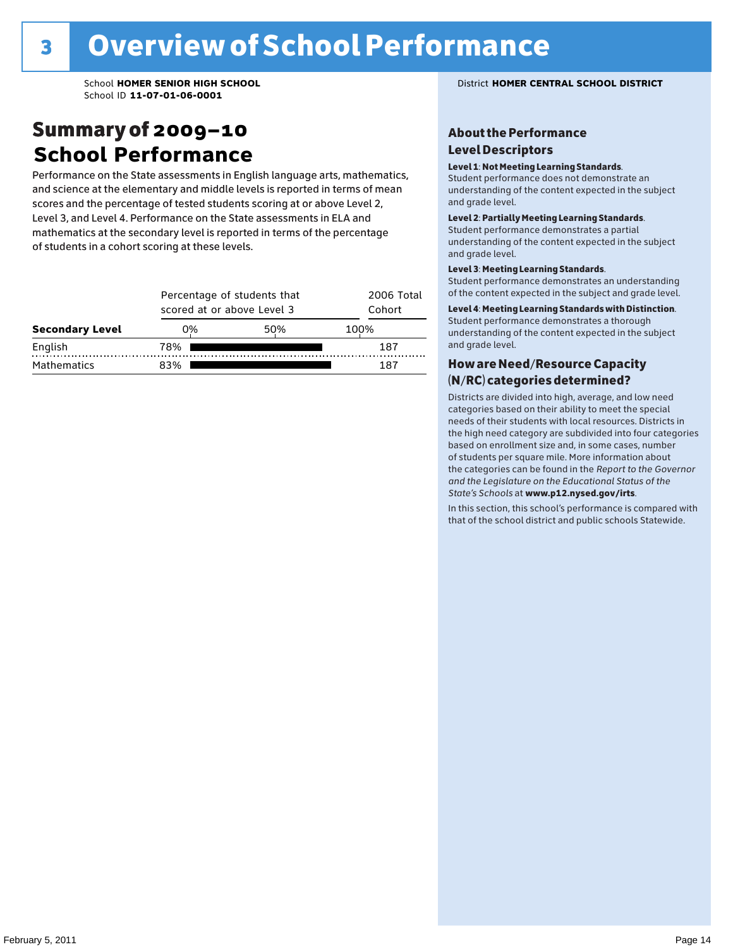### Summary of 2009–10 **School Performance**

Performance on the State assessments in English language arts, mathematics, and science at the elementary and middle levels is reported in terms of mean scores and the percentage of tested students scoring at or above Level 2, Level 3, and Level 4. Performance on the State assessments in ELA and mathematics at the secondary level is reported in terms of the percentage of students in a cohort scoring at these levels.

|                        |     | Percentage of students that<br>scored at or above Level 3 |      |  |  |  |  |  |
|------------------------|-----|-----------------------------------------------------------|------|--|--|--|--|--|
| <b>Secondary Level</b> | 0%  | 50%                                                       | 100% |  |  |  |  |  |
| English                | 78% |                                                           | 187  |  |  |  |  |  |
| <b>Mathematics</b>     | 83% |                                                           | 187  |  |  |  |  |  |

#### School **HOMER SENIOR HIGH SCHOOL** District **HOMER CENTRAL SCHOOL DISTRICT**

#### About the Performance Level Descriptors

#### Level 1: Not Meeting Learning Standards.

Student performance does not demonstrate an understanding of the content expected in the subject and grade level.

#### Level 2: Partially Meeting Learning Standards.

Student performance demonstrates a partial understanding of the content expected in the subject and grade level.

#### Level 3: Meeting Learning Standards.

Student performance demonstrates an understanding of the content expected in the subject and grade level.

#### Level 4: Meeting Learning Standards with Distinction.

Student performance demonstrates a thorough understanding of the content expected in the subject and grade level.

#### How are Need/Resource Capacity (N/RC) categories determined?

Districts are divided into high, average, and low need categories based on their ability to meet the special needs of their students with local resources. Districts in the high need category are subdivided into four categories based on enrollment size and, in some cases, number of students per square mile. More information about the categories can be found in the *Report to the Governor and the Legislature on the Educational Status of the*  State's Schools at www.p12.nysed.gov/irts.

In this section, this school's performance is compared with<br>that of the school district and multigarhaals Statemide In this section, this school's performance is compared that of the school district and public schools Statewide.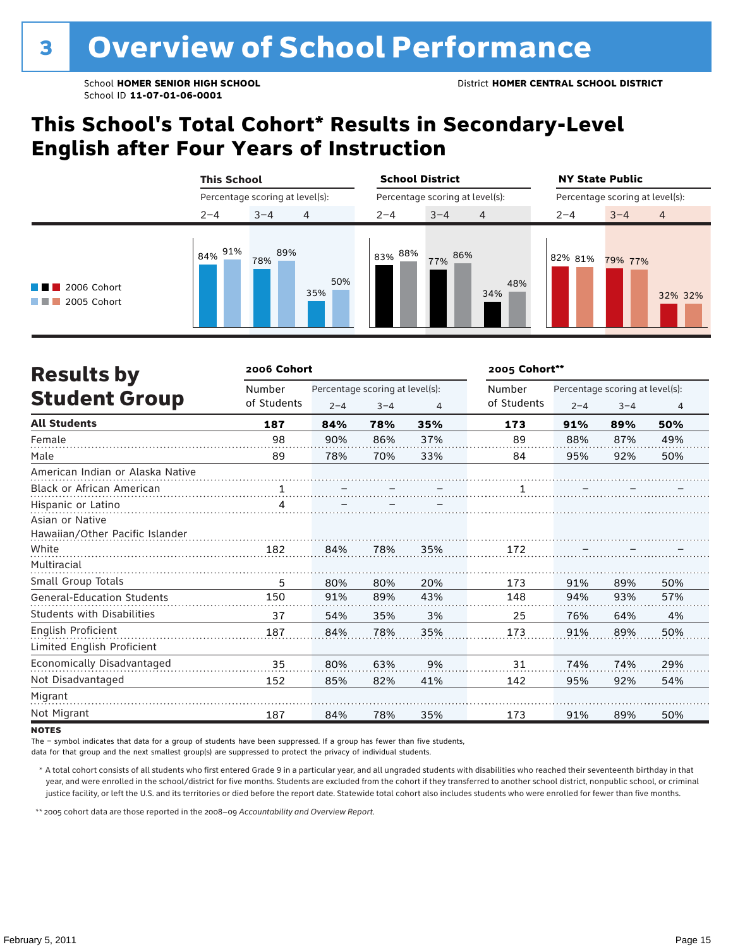### **This School's Total Cohort\* Results in Secondary-Level English after Four Years of Instruction**

|                                                          | <b>This School</b><br>Percentage scoring at level(s): |            |            | <b>School District</b> |                                 |            | <b>NY State Public</b><br>Percentage scoring at level(s): |         |         |  |
|----------------------------------------------------------|-------------------------------------------------------|------------|------------|------------------------|---------------------------------|------------|-----------------------------------------------------------|---------|---------|--|
|                                                          |                                                       |            |            |                        | Percentage scoring at level(s): |            |                                                           |         |         |  |
|                                                          | $2 - 4$                                               | $3 - 4$    | 4          | $2 - 4$                | $3 - 4$                         | 4          | $2 - 4$                                                   | $3 - 4$ | 4       |  |
| $\blacksquare$ 2006 Cohort<br>$\blacksquare$ 2005 Cohort | 91%<br>84%                                            | 89%<br>78% | 50%<br>35% | 83% 88%                | 86%<br>77%                      | 48%<br>34% | 82% 81%                                                   | 79% 77% | 32% 32% |  |

| <b>Results by</b>                 | 2006 Cohort |                                 |         |     | 2005 Cohort** |         |                                 |     |  |  |
|-----------------------------------|-------------|---------------------------------|---------|-----|---------------|---------|---------------------------------|-----|--|--|
|                                   | Number      | Percentage scoring at level(s): |         |     | Number        |         | Percentage scoring at level(s): |     |  |  |
| <b>Student Group</b>              | of Students | $2 - 4$                         | $3 - 4$ | 4   | of Students   | $2 - 4$ | $3 - 4$                         | 4   |  |  |
| <b>All Students</b>               | 187         | 84%                             | 78%     | 35% | 173           | 91%     | 89%                             | 50% |  |  |
| Female                            | 98          | 90%                             | 86%     | 37% | 89            | 88%     | 87%                             | 49% |  |  |
| Male                              | 89          | 78%                             | 70%     | 33% | 84            | 95%     | 92%                             | 50% |  |  |
| American Indian or Alaska Native  |             |                                 |         |     |               |         |                                 |     |  |  |
| <b>Black or African American</b>  | 1           |                                 |         |     | 1             |         |                                 |     |  |  |
| Hispanic or Latino                |             |                                 |         |     |               |         |                                 |     |  |  |
| Asian or Native                   |             |                                 |         |     |               |         |                                 |     |  |  |
| Hawaiian/Other Pacific Islander   |             |                                 |         |     |               |         |                                 |     |  |  |
| White                             | 182         | 84%                             | 78%     | 35% | 172           |         |                                 |     |  |  |
| Multiracial                       |             |                                 |         |     |               |         |                                 |     |  |  |
| Small Group Totals                | 5           | 80%                             | 80%     | 20% | 173           | 91%     | 89%                             | 50% |  |  |
| <b>General-Education Students</b> | 150         | 91%                             | 89%     | 43% | 148           | 94%     | 93%                             | 57% |  |  |
| Students with Disabilities        | 37          | 54%                             | 35%     | 3%  | 25            | 76%     | 64%                             | 4%  |  |  |
| English Proficient                | 187         | 84%                             | 78%     | 35% | 173           | 91%     | 89%                             | 50% |  |  |
| Limited English Proficient        |             |                                 |         |     |               |         |                                 |     |  |  |
| Economically Disadvantaged        | 35          | 80%                             | 63%     | 9%  | 31            | 74%     | 74%                             | 29% |  |  |
| Not Disadvantaged                 | 152         | 85%                             | 82%     | 41% | 142           | 95%     | 92%                             | 54% |  |  |
| Migrant                           |             |                                 |         |     |               |         |                                 |     |  |  |
| Not Migrant                       | 187         | 84%                             | 78%     | 35% | 173           | 91%     | 89%                             | 50% |  |  |

#### **NOTES**

The – symbol indicates that data for a group of students have been suppressed. If a group has fewer than five students,

data for that group and the next smallest group(s) are suppressed to protect the privacy of individual students.

 \* A total cohort consists of all students who first entered Grade 9 in a particular year, and all ungraded students with disabilities who reached their seventeenth birthday in that year, and were enrolled in the school/district for five months. Students are excluded from the cohort if they transferred to another school district, nonpublic school, or criminal justice facility, or left the U.S. and its territories or died before the report date. Statewide total cohort also includes students who were enrolled for fewer than five months.

\*\* 2005 cohort data are those reported in the 2008–09 *Accountability and Overview Report*.